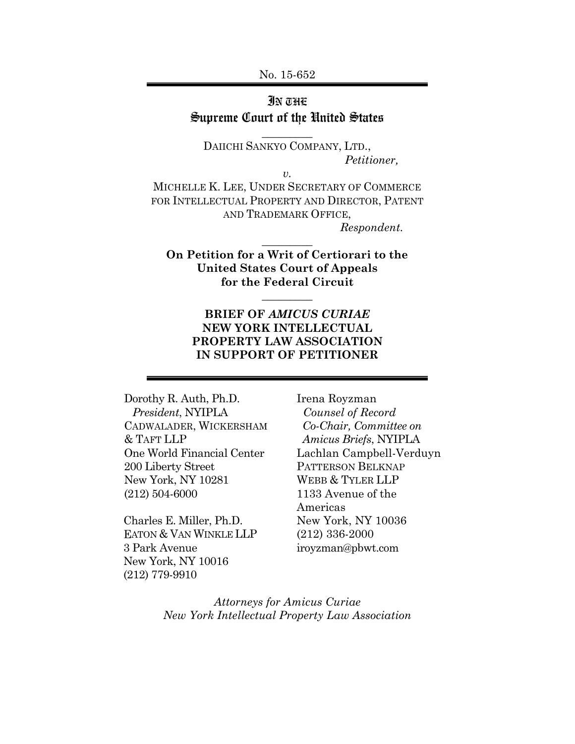No. 15-652

# IN THE Supreme Court of the United States

**\_\_\_\_\_\_\_\_\_** 

DAIICHI SANKYO COMPANY, LTD., *Petitioner,*

*v.*  MICHELLE K. LEE, UNDER SECRETARY OF COMMERCE FOR INTELLECTUAL PROPERTY AND DIRECTOR, PATENT AND TRADEMARK OFFICE, *Respondent.*

**On Petition for a Writ of Certiorari to the United States Court of Appeals for the Federal Circuit** 

**\_\_\_\_\_\_\_\_\_** 

**\_\_\_\_\_\_\_\_\_** 

## **BRIEF OF** *AMICUS CURIAE* **NEW YORK INTELLECTUAL PROPERTY LAW ASSOCIATION IN SUPPORT OF PETITIONER**

Dorothy R. Auth, Ph.D. *President*, NYIPLA CADWALADER, WICKERSHAM & TAFT LLP One World Financial Center 200 Liberty Street New York, NY 10281 (212) 504-6000

Charles E. Miller, Ph.D. EATON & VAN WINKLE LLP 3 Park Avenue New York, NY 10016 (212) 779-9910

Irena Royzman  *Counsel of Record Co-Chair, Committee on Amicus Briefs*, NYIPLA Lachlan Campbell-Verduyn PATTERSON BELKNAP WEBB & TYLER LLP 1133 Avenue of the Americas New York, NY 10036 (212) 336-2000 iroyzman@pbwt.com

*Attorneys for Amicus Curiae New York Intellectual Property Law Association*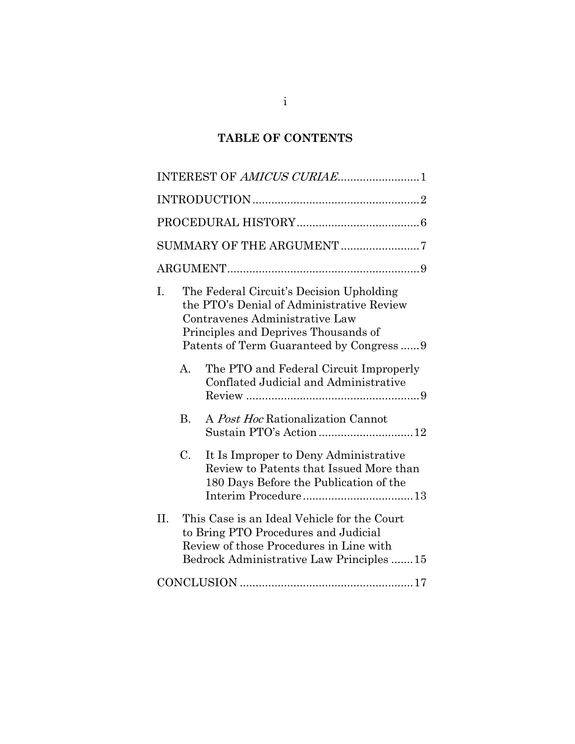# **TABLE OF CONTENTS**

| INTEREST OF AMICUS CURIAE1                                                                                                                                                        |  |  |  |  |
|-----------------------------------------------------------------------------------------------------------------------------------------------------------------------------------|--|--|--|--|
|                                                                                                                                                                                   |  |  |  |  |
|                                                                                                                                                                                   |  |  |  |  |
| SUMMARY OF THE ARGUMENT 7                                                                                                                                                         |  |  |  |  |
|                                                                                                                                                                                   |  |  |  |  |
| The Federal Circuit's Decision Upholding<br>I.<br>the PTO's Denial of Administrative Review<br>Contravenes Administrative Law<br>Principles and Deprives Thousands of             |  |  |  |  |
| The PTO and Federal Circuit Improperly<br>$\mathbf{A}$ .<br>Conflated Judicial and Administrative                                                                                 |  |  |  |  |
| <b>B.</b><br>A Post Hoc Rationalization Cannot<br>Sustain PTO's Action 12                                                                                                         |  |  |  |  |
| C.<br>It Is Improper to Deny Administrative<br>Review to Patents that Issued More than<br>180 Days Before the Publication of the                                                  |  |  |  |  |
| II.<br>This Case is an Ideal Vehicle for the Court<br>to Bring PTO Procedures and Judicial<br>Review of those Procedures in Line with<br>Bedrock Administrative Law Principles 15 |  |  |  |  |
|                                                                                                                                                                                   |  |  |  |  |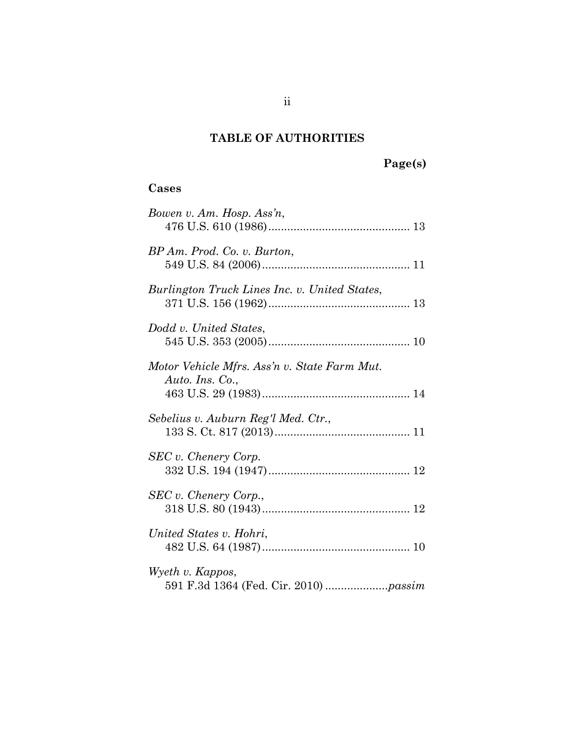# **TABLE OF AUTHORITIES**

# **Page(s)**

# **Cases**

| Bowen v. Am. Hosp. Ass'n,                                       |
|-----------------------------------------------------------------|
| BP Am. Prod. Co. v. Burton,                                     |
| Burlington Truck Lines Inc. v. United States,                   |
| Dodd v. United States,                                          |
| Motor Vehicle Mfrs. Ass'n v. State Farm Mut.<br>Auto. Ins. Co., |
| Sebelius v. Auburn Reg'l Med. Ctr.,                             |
| SEC v. Chenery Corp.                                            |
| SEC v. Chenery Corp.,                                           |
| United States v. Hohri,                                         |
| Wyeth v. Kappos,                                                |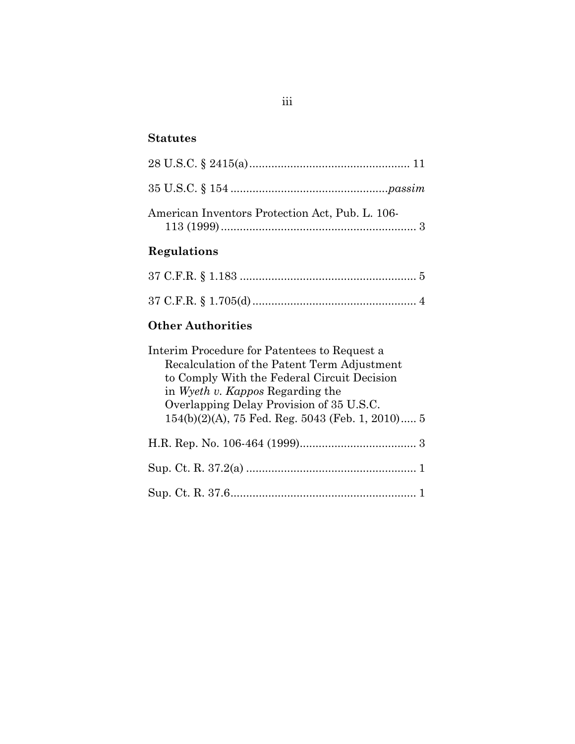## **Statutes**

| American Inventors Protection Act, Pub. L. 106- |  |
|-------------------------------------------------|--|

# **Regulations**

# **Other Authorities**

| Interim Procedure for Patentees to Request a        |
|-----------------------------------------------------|
| Recalculation of the Patent Term Adjustment         |
| to Comply With the Federal Circuit Decision         |
| in Wyeth v. Kappos Regarding the                    |
| Overlapping Delay Provision of 35 U.S.C.            |
| $154(b)(2)(A)$ , 75 Fed. Reg. 5043 (Feb. 1, 2010) 5 |
|                                                     |
|                                                     |
|                                                     |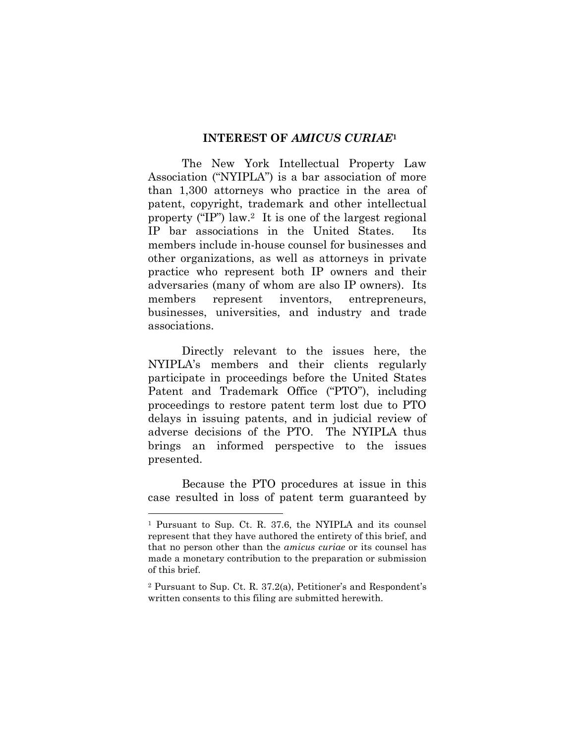#### **INTEREST OF** *AMICUS CURIAE***<sup>1</sup>**

The New York Intellectual Property Law Association ("NYIPLA") is a bar association of more than 1,300 attorneys who practice in the area of patent, copyright, trademark and other intellectual property ("IP") law.2 It is one of the largest regional IP bar associations in the United States. members include in-house counsel for businesses and other organizations, as well as attorneys in private practice who represent both IP owners and their adversaries (many of whom are also IP owners). Its members represent inventors, entrepreneurs, businesses, universities, and industry and trade associations.

Directly relevant to the issues here, the NYIPLA's members and their clients regularly participate in proceedings before the United States Patent and Trademark Office ("PTO"), including proceedings to restore patent term lost due to PTO delays in issuing patents, and in judicial review of adverse decisions of the PTO. The NYIPLA thus brings an informed perspective to the issues presented.

Because the PTO procedures at issue in this case resulted in loss of patent term guaranteed by

l

<sup>1</sup> Pursuant to Sup. Ct. R. 37.6, the NYIPLA and its counsel represent that they have authored the entirety of this brief, and that no person other than the *amicus curiae* or its counsel has made a monetary contribution to the preparation or submission of this brief.

<sup>2</sup> Pursuant to Sup. Ct. R. 37.2(a), Petitioner's and Respondent's written consents to this filing are submitted herewith.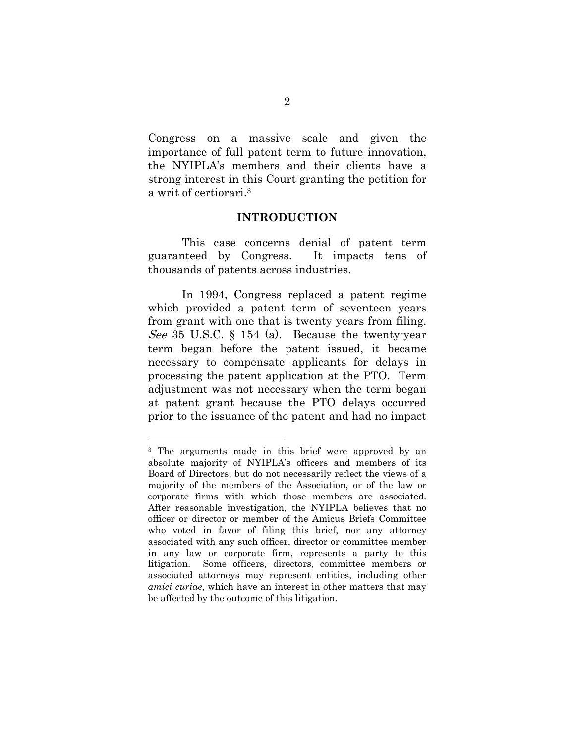Congress on a massive scale and given the importance of full patent term to future innovation, the NYIPLA's members and their clients have a strong interest in this Court granting the petition for a writ of certiorari.3

#### **INTRODUCTION**

This case concerns denial of patent term guaranteed by Congress. It impacts tens of thousands of patents across industries.

In 1994, Congress replaced a patent regime which provided a patent term of seventeen years from grant with one that is twenty years from filing. See 35 U.S.C. § 154 (a). Because the twenty-year term began before the patent issued, it became necessary to compensate applicants for delays in processing the patent application at the PTO. Term adjustment was not necessary when the term began at patent grant because the PTO delays occurred prior to the issuance of the patent and had no impact

l

<sup>3</sup> The arguments made in this brief were approved by an absolute majority of NYIPLA's officers and members of its Board of Directors, but do not necessarily reflect the views of a majority of the members of the Association, or of the law or corporate firms with which those members are associated. After reasonable investigation, the NYIPLA believes that no officer or director or member of the Amicus Briefs Committee who voted in favor of filing this brief, nor any attorney associated with any such officer, director or committee member in any law or corporate firm, represents a party to this litigation. Some officers, directors, committee members or associated attorneys may represent entities, including other *amici curiae*, which have an interest in other matters that may be affected by the outcome of this litigation.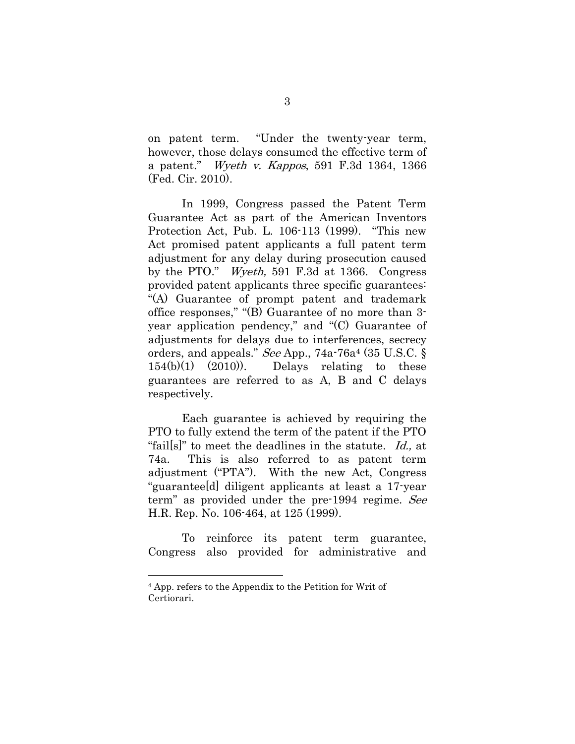on patent term. "Under the twenty-year term, however, those delays consumed the effective term of a patent." Wyeth v. Kappos, 591 F.3d 1364, 1366 (Fed. Cir. 2010).

In 1999, Congress passed the Patent Term Guarantee Act as part of the American Inventors Protection Act, Pub. L. 106-113 (1999). "This new Act promised patent applicants a full patent term adjustment for any delay during prosecution caused by the PTO." Wyeth, 591 F.3d at 1366. Congress provided patent applicants three specific guarantees: "(A) Guarantee of prompt patent and trademark office responses," "(B) Guarantee of no more than 3 year application pendency," and "(C) Guarantee of adjustments for delays due to interferences, secrecy orders, and appeals." See App., 74a-76a4 (35 U.S.C. §  $154(b)(1)$   $(2010))$ . Delays relating to these guarantees are referred to as A, B and C delays respectively.

Each guarantee is achieved by requiring the PTO to fully extend the term of the patent if the PTO "fails" to meet the deadlines in the statute. Id., at 74a. This is also referred to as patent term adjustment ("PTA"). With the new Act, Congress "guarantee[d] diligent applicants at least a 17-year term" as provided under the pre-1994 regime. See H.R. Rep. No. 106-464, at 125 (1999).

To reinforce its patent term guarantee, Congress also provided for administrative and

l

<sup>4</sup> App. refers to the Appendix to the Petition for Writ of Certiorari.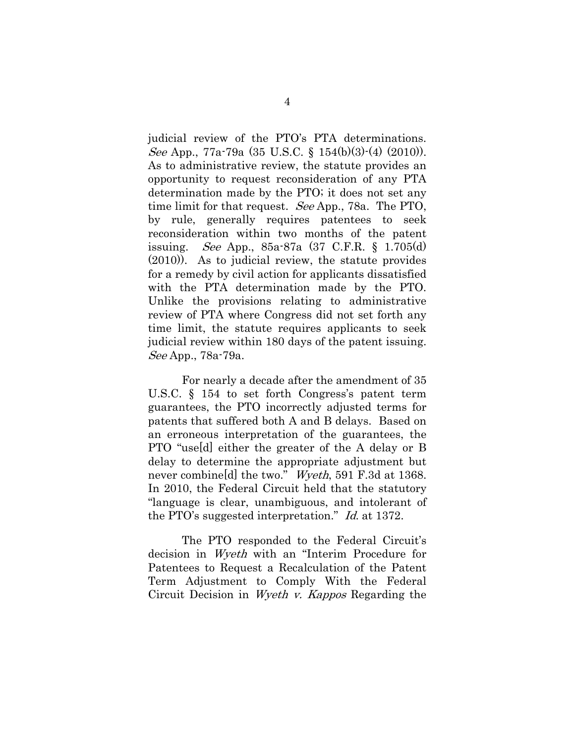judicial review of the PTO's PTA determinations. See App., 77a-79a (35 U.S.C. § 154(b)(3)-(4) (2010)). As to administrative review, the statute provides an opportunity to request reconsideration of any PTA determination made by the PTO; it does not set any time limit for that request. See App., 78a. The PTO, by rule, generally requires patentees to seek reconsideration within two months of the patent issuing. See App., 85a-87a (37 C.F.R. § 1.705(d) (2010)). As to judicial review, the statute provides for a remedy by civil action for applicants dissatisfied with the PTA determination made by the PTO. Unlike the provisions relating to administrative review of PTA where Congress did not set forth any time limit, the statute requires applicants to seek judicial review within 180 days of the patent issuing. See App., 78a-79a.

For nearly a decade after the amendment of 35 U.S.C. § 154 to set forth Congress's patent term guarantees, the PTO incorrectly adjusted terms for patents that suffered both A and B delays. Based on an erroneous interpretation of the guarantees, the PTO "use[d] either the greater of the A delay or B delay to determine the appropriate adjustment but never combine<sup>[d]</sup> the two." *Wyeth*, 591 F.3d at 1368. In 2010, the Federal Circuit held that the statutory "language is clear, unambiguous, and intolerant of the PTO's suggested interpretation." Id. at 1372.

The PTO responded to the Federal Circuit's decision in Wyeth with an "Interim Procedure for Patentees to Request a Recalculation of the Patent Term Adjustment to Comply With the Federal Circuit Decision in Wyeth v. Kappos Regarding the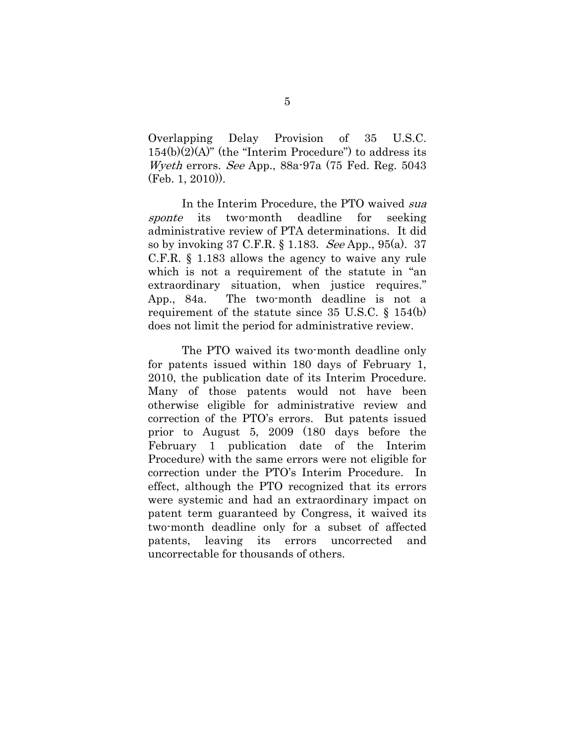Overlapping Delay Provision of 35 U.S.C.  $154(b)(2)(A)$ " (the "Interim Procedure") to address its Wyeth errors. See App., 88a-97a (75 Fed. Reg. 5043 (Feb. 1, 2010)).

In the Interim Procedure, the PTO waived sua sponte its two-month deadline for seeking administrative review of PTA determinations. It did so by invoking 37 C.F.R. § 1.183. See App., 95(a). 37 C.F.R. § 1.183 allows the agency to waive any rule which is not a requirement of the statute in "an extraordinary situation, when justice requires." App., 84a. The two-month deadline is not a requirement of the statute since 35 U.S.C. § 154(b) does not limit the period for administrative review.

The PTO waived its two-month deadline only for patents issued within 180 days of February 1, 2010, the publication date of its Interim Procedure. Many of those patents would not have been otherwise eligible for administrative review and correction of the PTO's errors. But patents issued prior to August 5, 2009 (180 days before the February 1 publication date of the Interim Procedure) with the same errors were not eligible for correction under the PTO's Interim Procedure. In effect, although the PTO recognized that its errors were systemic and had an extraordinary impact on patent term guaranteed by Congress, it waived its two-month deadline only for a subset of affected patents, leaving its errors uncorrected and uncorrectable for thousands of others.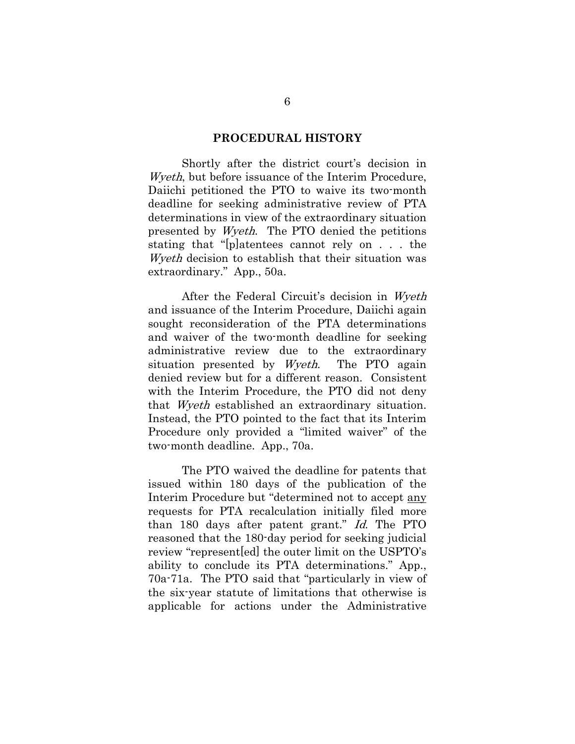#### **PROCEDURAL HISTORY**

Shortly after the district court's decision in Wyeth, but before issuance of the Interim Procedure, Daiichi petitioned the PTO to waive its two-month deadline for seeking administrative review of PTA determinations in view of the extraordinary situation presented by Wyeth. The PTO denied the petitions stating that "[p]atentees cannot rely on . . . the Wyeth decision to establish that their situation was extraordinary." App., 50a.

After the Federal Circuit's decision in Wyeth and issuance of the Interim Procedure, Daiichi again sought reconsideration of the PTA determinations and waiver of the two-month deadline for seeking administrative review due to the extraordinary situation presented by Wyeth. The PTO again denied review but for a different reason. Consistent with the Interim Procedure, the PTO did not deny that Wyeth established an extraordinary situation. Instead, the PTO pointed to the fact that its Interim Procedure only provided a "limited waiver" of the two-month deadline. App., 70a.

The PTO waived the deadline for patents that issued within 180 days of the publication of the Interim Procedure but "determined not to accept any requests for PTA recalculation initially filed more than 180 days after patent grant." Id. The PTO reasoned that the 180-day period for seeking judicial review "represent[ed] the outer limit on the USPTO's ability to conclude its PTA determinations." App., 70a-71a. The PTO said that "particularly in view of the six-year statute of limitations that otherwise is applicable for actions under the Administrative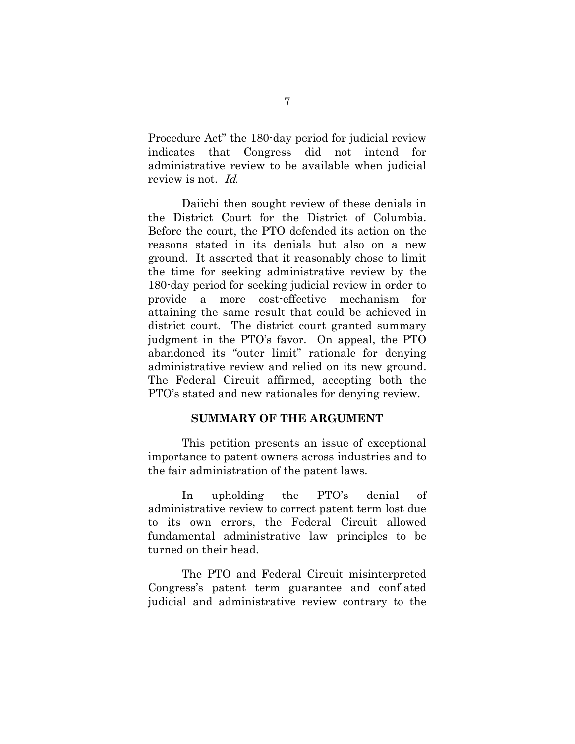Procedure Act" the 180-day period for judicial review indicates that Congress did not intend for administrative review to be available when judicial review is not. *Id.* 

Daiichi then sought review of these denials in the District Court for the District of Columbia. Before the court, the PTO defended its action on the reasons stated in its denials but also on a new ground. It asserted that it reasonably chose to limit the time for seeking administrative review by the 180-day period for seeking judicial review in order to provide a more cost-effective mechanism for attaining the same result that could be achieved in district court. The district court granted summary judgment in the PTO's favor. On appeal, the PTO abandoned its "outer limit" rationale for denying administrative review and relied on its new ground. The Federal Circuit affirmed, accepting both the PTO's stated and new rationales for denying review.

#### **SUMMARY OF THE ARGUMENT**

This petition presents an issue of exceptional importance to patent owners across industries and to the fair administration of the patent laws.

In upholding the PTO's denial of administrative review to correct patent term lost due to its own errors, the Federal Circuit allowed fundamental administrative law principles to be turned on their head.

The PTO and Federal Circuit misinterpreted Congress's patent term guarantee and conflated judicial and administrative review contrary to the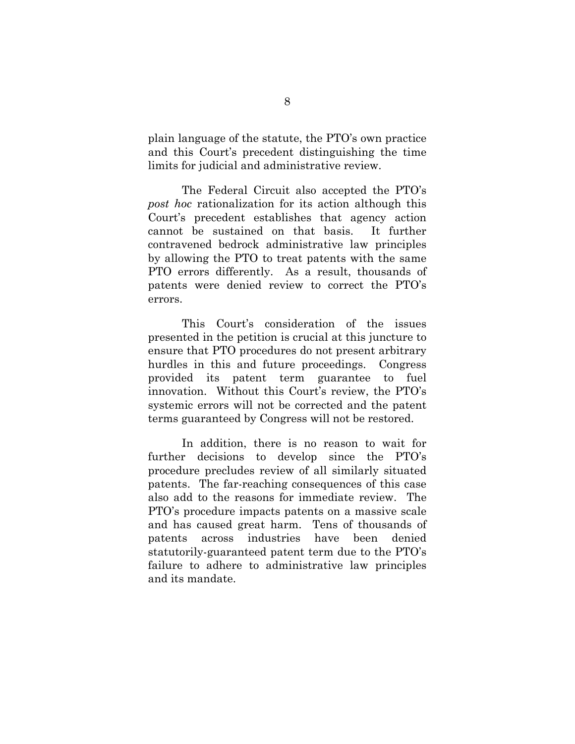plain language of the statute, the PTO's own practice and this Court's precedent distinguishing the time limits for judicial and administrative review.

The Federal Circuit also accepted the PTO's *post hoc* rationalization for its action although this Court's precedent establishes that agency action cannot be sustained on that basis. It further contravened bedrock administrative law principles by allowing the PTO to treat patents with the same PTO errors differently. As a result, thousands of patents were denied review to correct the PTO's errors.

This Court's consideration of the issues presented in the petition is crucial at this juncture to ensure that PTO procedures do not present arbitrary hurdles in this and future proceedings. Congress provided its patent term guarantee to fuel innovation. Without this Court's review, the PTO's systemic errors will not be corrected and the patent terms guaranteed by Congress will not be restored.

In addition, there is no reason to wait for further decisions to develop since the PTO's procedure precludes review of all similarly situated patents. The far-reaching consequences of this case also add to the reasons for immediate review. The PTO's procedure impacts patents on a massive scale and has caused great harm. Tens of thousands of patents across industries have been denied statutorily-guaranteed patent term due to the PTO's failure to adhere to administrative law principles and its mandate.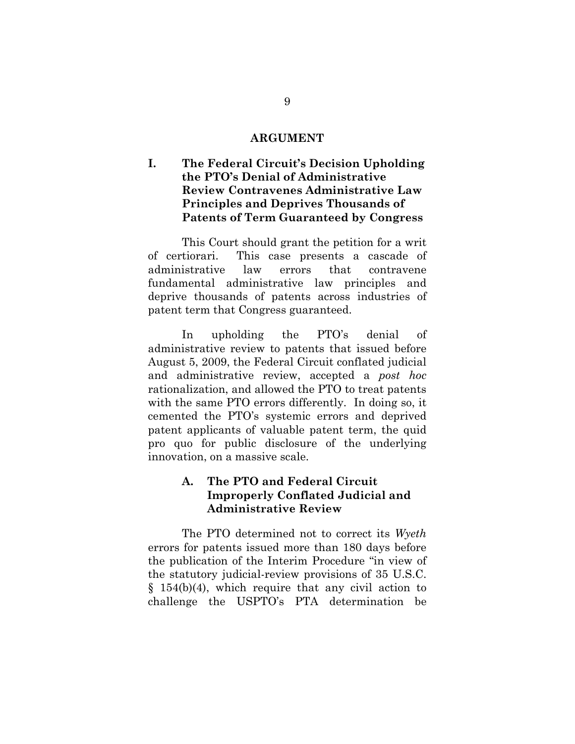#### **ARGUMENT**

### **I. The Federal Circuit's Decision Upholding the PTO's Denial of Administrative Review Contravenes Administrative Law Principles and Deprives Thousands of Patents of Term Guaranteed by Congress**

This Court should grant the petition for a writ of certiorari. This case presents a cascade of administrative law errors that contravene fundamental administrative law principles and deprive thousands of patents across industries of patent term that Congress guaranteed.

In upholding the PTO's denial of administrative review to patents that issued before August 5, 2009, the Federal Circuit conflated judicial and administrative review, accepted a *post hoc* rationalization, and allowed the PTO to treat patents with the same PTO errors differently. In doing so, it cemented the PTO's systemic errors and deprived patent applicants of valuable patent term, the quid pro quo for public disclosure of the underlying innovation, on a massive scale.

## **A. The PTO and Federal Circuit Improperly Conflated Judicial and Administrative Review**

The PTO determined not to correct its *Wyeth*  errors for patents issued more than 180 days before the publication of the Interim Procedure "in view of the statutory judicial-review provisions of 35 U.S.C. § 154(b)(4), which require that any civil action to challenge the USPTO's PTA determination be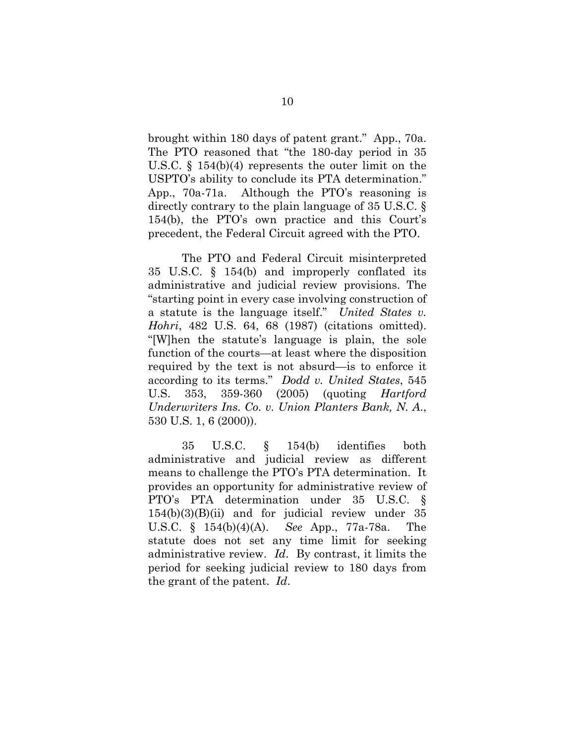brought within 180 days of patent grant." App., 70a. The PTO reasoned that "the 180-day period in 35 U.S.C. § 154(b)(4) represents the outer limit on the USPTO's ability to conclude its PTA determination." App., 70a-71a. Although the PTO's reasoning is directly contrary to the plain language of 35 U.S.C. § 154(b), the PTO's own practice and this Court's precedent, the Federal Circuit agreed with the PTO.

The PTO and Federal Circuit misinterpreted 35 U.S.C. § 154(b) and improperly conflated its administrative and judicial review provisions. The "starting point in every case involving construction of a statute is the language itself." *United States v. Hohri*, 482 U.S. 64, 68 (1987) (citations omitted). "[W]hen the statute's language is plain, the sole function of the courts—at least where the disposition required by the text is not absurd—is to enforce it according to its terms." *Dodd v. United States*, 545 U.S. 353, 359-360 (2005) (quoting *Hartford Underwriters Ins. Co. v. Union Planters Bank, N. A*., 530 U.S. 1, 6 (2000)).

35 U.S.C. § 154(b) identifies both administrative and judicial review as different means to challenge the PTO's PTA determination. It provides an opportunity for administrative review of PTO's PTA determination under 35 U.S.C. §  $154(b)(3)(B)(ii)$  and for judicial review under 35 U.S.C. § 154(b)(4)(A). *See* App., 77a-78a. The statute does not set any time limit for seeking administrative review. *Id*. By contrast, it limits the period for seeking judicial review to 180 days from the grant of the patent. *Id*.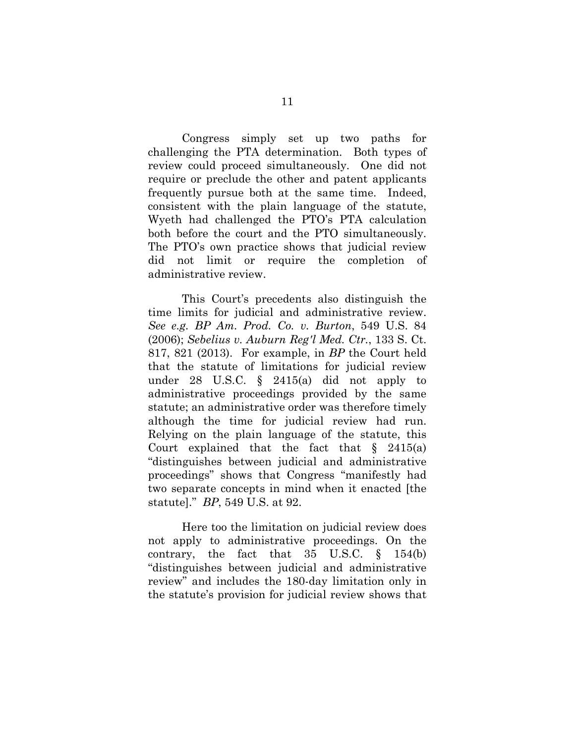Congress simply set up two paths for challenging the PTA determination. Both types of review could proceed simultaneously. One did not require or preclude the other and patent applicants frequently pursue both at the same time. Indeed, consistent with the plain language of the statute, Wyeth had challenged the PTO's PTA calculation both before the court and the PTO simultaneously. The PTO's own practice shows that judicial review did not limit or require the completion of administrative review.

This Court's precedents also distinguish the time limits for judicial and administrative review. *See e.g. BP Am. Prod. Co. v. Burton*, 549 U.S. 84 (2006); *Sebelius v. Auburn Reg'l Med. Ctr.*, 133 S. Ct. 817, 821 (2013). For example, in *BP* the Court held that the statute of limitations for judicial review under 28 U.S.C. § 2415(a) did not apply to administrative proceedings provided by the same statute; an administrative order was therefore timely although the time for judicial review had run. Relying on the plain language of the statute, this Court explained that the fact that  $\S$  2415(a) "distinguishes between judicial and administrative proceedings" shows that Congress "manifestly had two separate concepts in mind when it enacted [the statute]." *BP*, 549 U.S. at 92.

Here too the limitation on judicial review does not apply to administrative proceedings. On the contrary, the fact that 35 U.S.C. § 154(b) "distinguishes between judicial and administrative review" and includes the 180-day limitation only in the statute's provision for judicial review shows that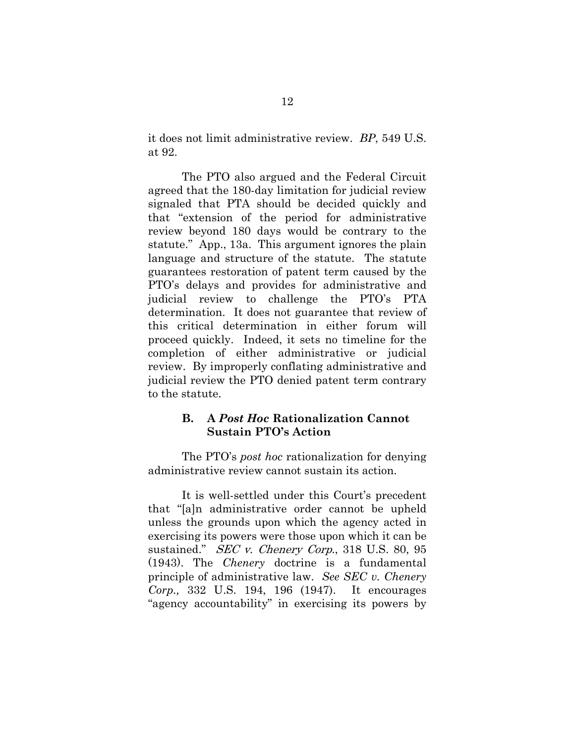it does not limit administrative review. *BP*, 549 U.S. at 92.

The PTO also argued and the Federal Circuit agreed that the 180-day limitation for judicial review signaled that PTA should be decided quickly and that "extension of the period for administrative review beyond 180 days would be contrary to the statute." App., 13a. This argument ignores the plain language and structure of the statute. The statute guarantees restoration of patent term caused by the PTO's delays and provides for administrative and judicial review to challenge the PTO's PTA determination. It does not guarantee that review of this critical determination in either forum will proceed quickly. Indeed, it sets no timeline for the completion of either administrative or judicial review. By improperly conflating administrative and judicial review the PTO denied patent term contrary to the statute.

### **B. A** *Post Hoc* **Rationalization Cannot Sustain PTO's Action**

The PTO's *post hoc* rationalization for denying administrative review cannot sustain its action.

It is well-settled under this Court's precedent that "[a]n administrative order cannot be upheld unless the grounds upon which the agency acted in exercising its powers were those upon which it can be sustained." *SEC v. Chenery Corp.*, 318 U.S. 80, 95 (1943). The *Chenery* doctrine is a fundamental principle of administrative law. *See SEC v. Chenery Corp.,* 332 U.S. 194, 196 (1947). It encourages "agency accountability" in exercising its powers by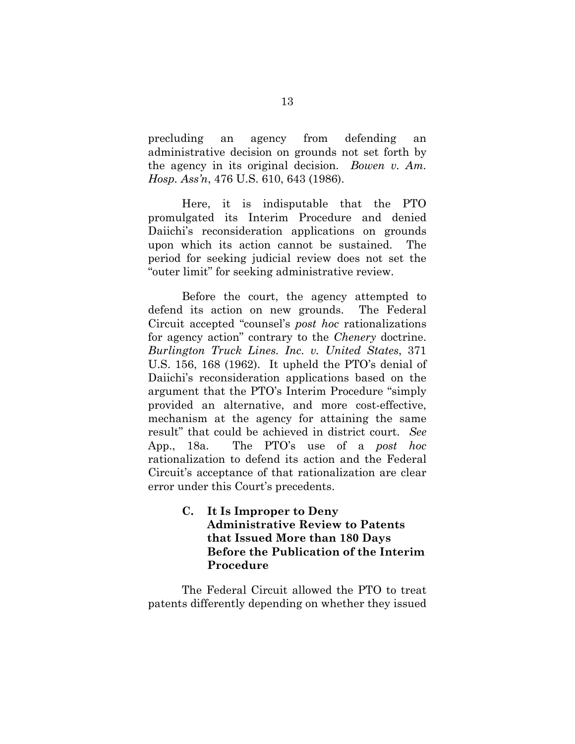precluding an agency from defending an administrative decision on grounds not set forth by the agency in its original decision. *Bowen v. Am. Hosp. Ass'n*, 476 U.S. 610, 643 (1986).

Here, it is indisputable that the PTO promulgated its Interim Procedure and denied Daiichi's reconsideration applications on grounds upon which its action cannot be sustained. The period for seeking judicial review does not set the "outer limit" for seeking administrative review.

Before the court, the agency attempted to defend its action on new grounds. The Federal Circuit accepted "counsel's *post hoc* rationalizations for agency action" contrary to the *Chenery* doctrine. *Burlington Truck Lines. Inc. v. United States*, 371 U.S. 156, 168 (1962). It upheld the PTO's denial of Daiichi's reconsideration applications based on the argument that the PTO's Interim Procedure "simply provided an alternative, and more cost-effective, mechanism at the agency for attaining the same result" that could be achieved in district court. *See*  App., 18a. The PTO's use of a *post hoc* rationalization to defend its action and the Federal Circuit's acceptance of that rationalization are clear error under this Court's precedents.

> **C. It Is Improper to Deny Administrative Review to Patents that Issued More than 180 Days Before the Publication of the Interim Procedure**

The Federal Circuit allowed the PTO to treat patents differently depending on whether they issued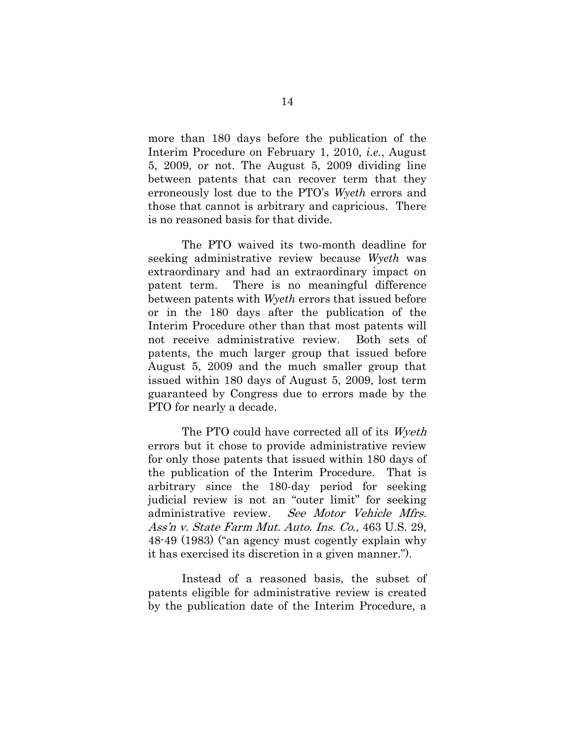more than 180 days before the publication of the Interim Procedure on February 1, 2010, *i.e.*, August 5, 2009, or not. The August 5, 2009 dividing line between patents that can recover term that they erroneously lost due to the PTO's *Wyeth* errors and those that cannot is arbitrary and capricious. There is no reasoned basis for that divide.

The PTO waived its two-month deadline for seeking administrative review because *Wyeth* was extraordinary and had an extraordinary impact on patent term. There is no meaningful difference between patents with *Wyeth* errors that issued before or in the 180 days after the publication of the Interim Procedure other than that most patents will not receive administrative review. Both sets of patents, the much larger group that issued before August 5, 2009 and the much smaller group that issued within 180 days of August 5, 2009, lost term guaranteed by Congress due to errors made by the PTO for nearly a decade.

The PTO could have corrected all of its Wyeth errors but it chose to provide administrative review for only those patents that issued within 180 days of the publication of the Interim Procedure. That is arbitrary since the 180-day period for seeking judicial review is not an "outer limit" for seeking administrative review. See Motor Vehicle Mfrs. Ass'n v. State Farm Mut. Auto. Ins. Co., 463 U.S. 29, 48-49 (1983) ("an agency must cogently explain why it has exercised its discretion in a given manner.").

Instead of a reasoned basis, the subset of patents eligible for administrative review is created by the publication date of the Interim Procedure, a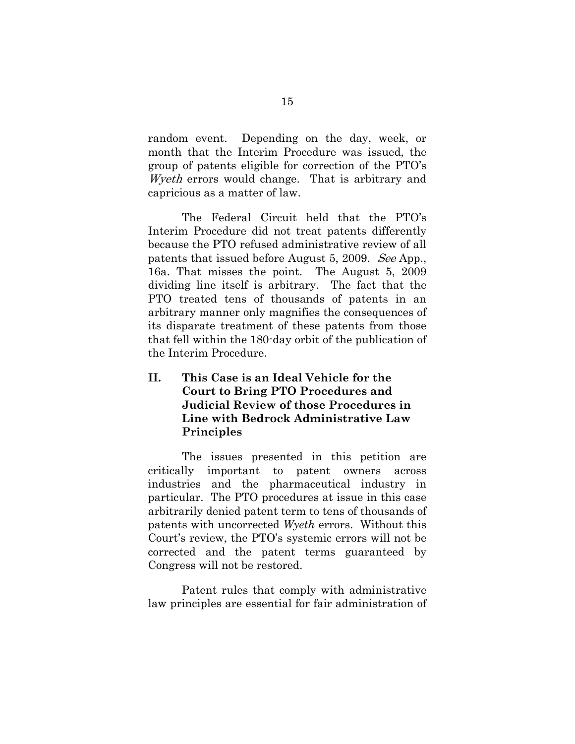random event. Depending on the day, week, or month that the Interim Procedure was issued, the group of patents eligible for correction of the PTO's Wyeth errors would change. That is arbitrary and capricious as a matter of law.

The Federal Circuit held that the PTO's Interim Procedure did not treat patents differently because the PTO refused administrative review of all patents that issued before August 5, 2009. See App., 16a. That misses the point. The August 5, 2009 dividing line itself is arbitrary. The fact that the PTO treated tens of thousands of patents in an arbitrary manner only magnifies the consequences of its disparate treatment of these patents from those that fell within the 180-day orbit of the publication of the Interim Procedure.

## **II. This Case is an Ideal Vehicle for the Court to Bring PTO Procedures and Judicial Review of those Procedures in Line with Bedrock Administrative Law Principles**

The issues presented in this petition are critically important to patent owners across industries and the pharmaceutical industry in particular. The PTO procedures at issue in this case arbitrarily denied patent term to tens of thousands of patents with uncorrected *Wyeth* errors. Without this Court's review, the PTO's systemic errors will not be corrected and the patent terms guaranteed by Congress will not be restored.

Patent rules that comply with administrative law principles are essential for fair administration of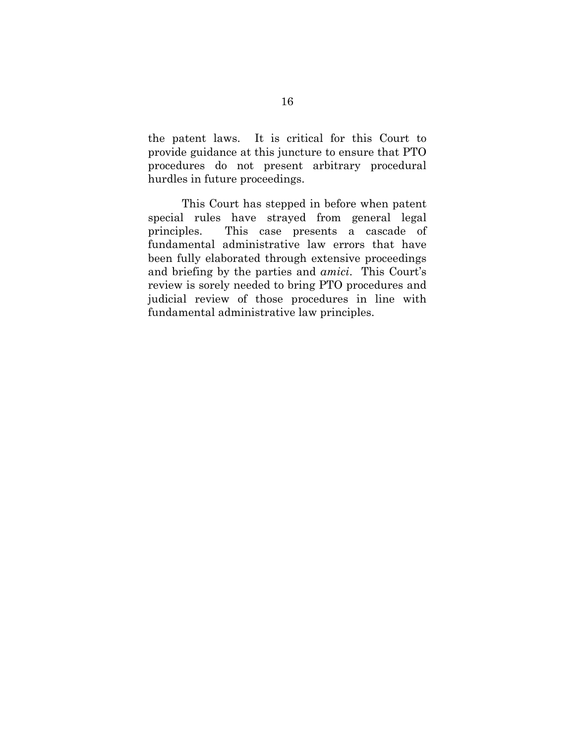the patent laws. It is critical for this Court to provide guidance at this juncture to ensure that PTO procedures do not present arbitrary procedural hurdles in future proceedings.

This Court has stepped in before when patent special rules have strayed from general legal principles. This case presents a cascade of fundamental administrative law errors that have been fully elaborated through extensive proceedings and briefing by the parties and *amici*. This Court's review is sorely needed to bring PTO procedures and judicial review of those procedures in line with fundamental administrative law principles.